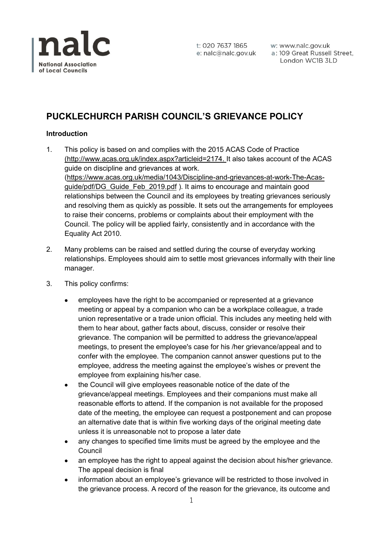

t: 020 7637 1865 e: nalc@nalc.gov.uk w: www.nalc.gov.uk a: 109 Great Russell Street, London WC1B 3LD

# **PUCKLECHURCH PARISH COUNCIL'S GRIEVANCE POLICY**

## **Introduction**

- 1. This policy is based on and complies with the 2015 ACAS Code of Practice [\(http://www.acas.org.uk/index.aspx?articleid=2174.](http://www.acas.org.uk/index.aspx?articleid=2174) It also takes account of the ACAS guide on discipline and grievances at work. [\(https://www.acas.org.uk/media/1043/Discipline-and-grievances-at-work-The-Acas](https://www.acas.org.uk/media/1043/Discipline-and-grievances-at-work-The-Acas-guide/pdf/DG_Guide_Feb_2019.pdf)[guide/pdf/DG\\_Guide\\_Feb\\_2019.pdf](https://www.acas.org.uk/media/1043/Discipline-and-grievances-at-work-The-Acas-guide/pdf/DG_Guide_Feb_2019.pdf) ). It aims to encourage and maintain good relationships between the Council and its employees by treating grievances seriously and resolving them as quickly as possible. It sets out the arrangements for employees to raise their concerns, problems or complaints about their employment with the Council. The policy will be applied fairly, consistently and in accordance with the Equality Act 2010.
- 2. Many problems can be raised and settled during the course of everyday working relationships. Employees should aim to settle most grievances informally with their line manager.
- 3. This policy confirms:
	- employees have the right to be accompanied or represented at a grievance meeting or appeal by a companion who can be a workplace colleague, a trade union representative or a trade union official. This includes any meeting held with them to hear about, gather facts about, discuss, consider or resolve their grievance. The companion will be permitted to address the grievance/appeal meetings, to present the employee's case for his /her grievance/appeal and to confer with the employee. The companion cannot answer questions put to the employee, address the meeting against the employee's wishes or prevent the employee from explaining his/her case.
	- the Council will give employees reasonable notice of the date of the grievance/appeal meetings. Employees and their companions must make all reasonable efforts to attend. If the companion is not available for the proposed date of the meeting, the employee can request a postponement and can propose an alternative date that is within five working days of the original meeting date unless it is unreasonable not to propose a later date
	- any changes to specified time limits must be agreed by the employee and the **Council**
	- an employee has the right to appeal against the decision about his/her grievance. The appeal decision is final
	- information about an employee's grievance will be restricted to those involved in the grievance process. A record of the reason for the grievance, its outcome and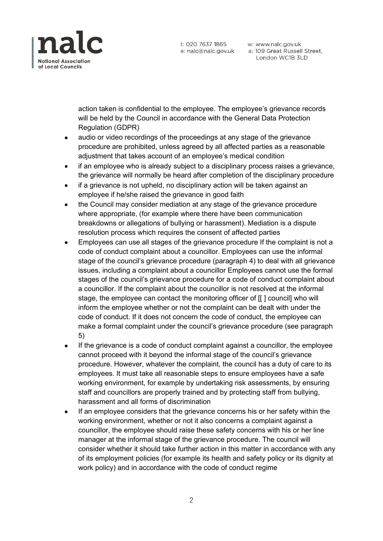

t: 020 7637 1865

w: www.nalc.gov.uk e: nalc@nalc.gov.uk a: 109 Great Russell Street, London WC1B 3LD

action taken is confidential to the employee. The employee's grievance records will be held by the Council in accordance with the General Data Protection Regulation (GDPR)

- audio or video recordings of the proceedings at any stage of the grievance procedure are prohibited, unless agreed by all affected parties as a reasonable adjustment that takes account of an employee's medical condition
- if an employee who is already subject to a disciplinary process raises a grievance, the grievance will normally be heard after completion of the disciplinary procedure
- if a grievance is not upheld, no disciplinary action will be taken against an employee if he/she raised the grievance in good faith
- the Council may consider mediation at any stage of the grievance procedure where appropriate, (for example where there have been communication breakdowns or allegations of bullying or harassment). Mediation is a dispute resolution process which requires the consent of affected parties
- Employees can use all stages of the grievance procedure If the complaint is not a code of conduct complaint about a councillor. Employees can use the informal stage of the council's grievance procedure (paragraph 4) to deal with all grievance issues, including a complaint about a councillor Employees cannot use the formal stages of the council's grievance procedure for a code of conduct complaint about a councillor. If the complaint about the councillor is not resolved at the informal stage, the employee can contact the monitoring officer of [[ ] council] who will inform the employee whether or not the complaint can be dealt with under the code of conduct. If it does not concern the code of conduct, the employee can make a formal complaint under the council's grievance procedure (see paragraph 5)
- If the grievance is a code of conduct complaint against a councillor, the employee cannot proceed with it beyond the informal stage of the council's grievance procedure. However, whatever the complaint, the council has a duty of care to its employees. It must take all reasonable steps to ensure employees have a safe working environment, for example by undertaking risk assessments, by ensuring staff and councillors are properly trained and by protecting staff from bullying, harassment and all forms of discrimination
- If an employee considers that the grievance concerns his or her safety within the working environment, whether or not it also concerns a complaint against a councillor, the employee should raise these safety concerns with his or her line manager at the informal stage of the grievance procedure. The council will consider whether it should take further action in this matter in accordance with any of its employment policies (for example its health and safety policy or its dignity at work policy) and in accordance with the code of conduct regime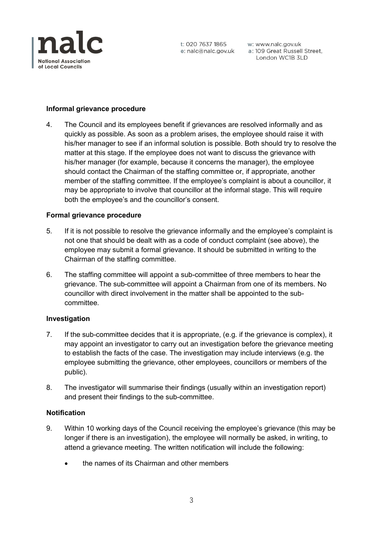

### **Informal grievance procedure**

4. The Council and its employees benefit if grievances are resolved informally and as quickly as possible. As soon as a problem arises, the employee should raise it with his/her manager to see if an informal solution is possible. Both should try to resolve the matter at this stage. If the employee does not want to discuss the grievance with his/her manager (for example, because it concerns the manager), the employee should contact the Chairman of the staffing committee or, if appropriate, another member of the staffing committee. If the employee's complaint is about a councillor, it may be appropriate to involve that councillor at the informal stage. This will require both the employee's and the councillor's consent.

#### **Formal grievance procedure**

- 5. If it is not possible to resolve the grievance informally and the employee's complaint is not one that should be dealt with as a code of conduct complaint (see above), the employee may submit a formal grievance. It should be submitted in writing to the Chairman of the staffing committee.
- 6. The staffing committee will appoint a sub-committee of three members to hear the grievance. The sub-committee will appoint a Chairman from one of its members. No councillor with direct involvement in the matter shall be appointed to the subcommittee.

#### **Investigation**

- 7. If the sub-committee decides that it is appropriate, (e.g. if the grievance is complex), it may appoint an investigator to carry out an investigation before the grievance meeting to establish the facts of the case. The investigation may include interviews (e.g. the employee submitting the grievance, other employees, councillors or members of the public).
- 8. The investigator will summarise their findings (usually within an investigation report) and present their findings to the sub-committee.

## **Notification**

- 9. Within 10 working days of the Council receiving the employee's grievance (this may be longer if there is an investigation), the employee will normally be asked, in writing, to attend a grievance meeting. The written notification will include the following:
	- the names of its Chairman and other members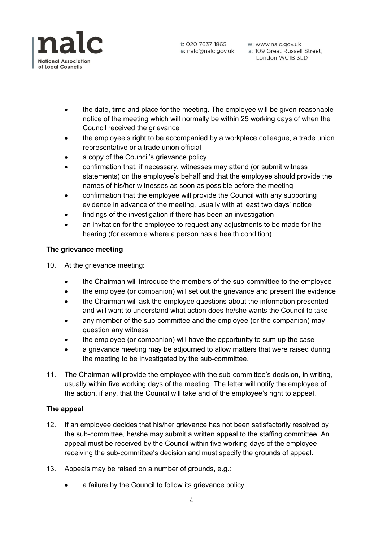

w: www.nalc.gov.uk London WC1B 3LD

- the date, time and place for the meeting. The employee will be given reasonable notice of the meeting which will normally be within 25 working days of when the Council received the grievance
- the employee's right to be accompanied by a workplace colleague, a trade union representative or a trade union official
- a copy of the Council's grievance policy
- confirmation that, if necessary, witnesses may attend (or submit witness statements) on the employee's behalf and that the employee should provide the names of his/her witnesses as soon as possible before the meeting
- confirmation that the employee will provide the Council with any supporting evidence in advance of the meeting, usually with at least two days' notice
- findings of the investigation if there has been an investigation
- an invitation for the employee to request any adjustments to be made for the hearing (for example where a person has a health condition).

## **The grievance meeting**

- 10. At the grievance meeting:
	- the Chairman will introduce the members of the sub-committee to the employee
	- the employee (or companion) will set out the grievance and present the evidence
	- the Chairman will ask the employee questions about the information presented and will want to understand what action does he/she wants the Council to take
	- any member of the sub-committee and the employee (or the companion) may question any witness
	- the employee (or companion) will have the opportunity to sum up the case
	- a grievance meeting may be adjourned to allow matters that were raised during the meeting to be investigated by the sub-committee.
- 11. The Chairman will provide the employee with the sub-committee's decision, in writing, usually within five working days of the meeting. The letter will notify the employee of the action, if any, that the Council will take and of the employee's right to appeal.

#### **The appeal**

- 12. If an employee decides that his/her grievance has not been satisfactorily resolved by the sub-committee, he/she may submit a written appeal to the staffing committee. An appeal must be received by the Council within five working days of the employee receiving the sub-committee's decision and must specify the grounds of appeal.
- 13. Appeals may be raised on a number of grounds, e.g.:
	- a failure by the Council to follow its grievance policy